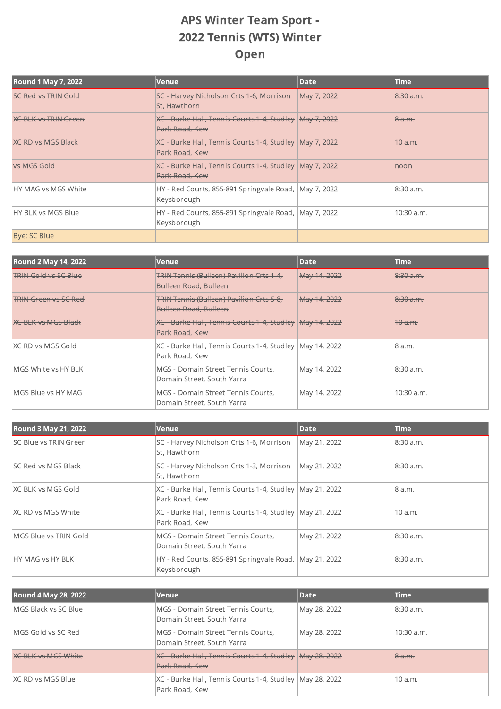## APS Winter Team Sport - 2022 Tennis (WTS) Winter Open

| <b>Round 1 May 7, 2022</b>  | Venue                                                                  | <b>Date</b> | Time               |
|-----------------------------|------------------------------------------------------------------------|-------------|--------------------|
| <b>SC Red vs TRIN Gold</b>  | <b>SC - Harvey Nicholson Crts 1-6, Morrison</b><br>St. Hawthorn        | May 7, 2022 | 8:30 a.m.          |
| <b>KG BLK vs TRIN Green</b> | XC - Burke Hall, Tennis Courts 1-4, Studley<br>Park Road, Kew          | May 7, 2022 | <del>8 a.m.</del>  |
| <b>XC RD vs MGS Black</b>   | XC - Burke Hall, Tennis Courts 1-4, Studley<br>Park Road, Kew          | May 7, 2022 | <del>10 a.m.</del> |
| vs MGS Gold                 | <b>XC - Burke Hall, Tennis Courts 1-4, Studley</b><br>Park Road, Kew   | May 7, 2022 | <del>noon</del>    |
| HY MAG vs MGS White         | HY - Red Courts, 855-891 Springvale Road, HMay 7, 2022<br> Keysborough |             | 8:30 a.m.          |
| HY BLK vs MGS Blue          | HY - Red Courts, 855-891 Springvale Road, May 7, 2022<br>Keysborough   |             | 10:30 a.m.         |
| Bye: SC Blue                |                                                                        |             |                    |

| <b>Round 2 May 14, 2022</b> | Venue                                                                           | Date         | <b>Time</b>          |
|-----------------------------|---------------------------------------------------------------------------------|--------------|----------------------|
| <b>TRIN Gold vs SC Blue</b> | <b>TRIN Tennis (Bulleen) Pavilion Crts 1-4,</b><br><b>Bulleen Road, Bulleen</b> | May 14, 2022 | 8:30 a.m.            |
| <b>TRIN Green vs SC Red</b> | <b>TRIN Tennis (Bulleen) Pavilion Crts 5-8,</b><br><b>Bulleen Road, Bulleen</b> | May 14, 2022 | <del>8:30 a.m.</del> |
| <b>KG BLK vs MGS Black</b>  | <b>XC - Burke Hall, Tennis Courts 1-4, Studley</b><br>Park Road, Kew            | May 14, 2022 | <del>10 a.m.</del>   |
| IXC RD vs MGS Gold          | XC - Burke Hall, Tennis Courts 1-4, Studley May 14, 2022<br>Park Road, Kew      |              | 8 a.m.               |
| MGS White vs HY BLK         | lMGS - Domain Street Tennis Courts.<br>Domain Street, South Yarra               | May 14, 2022 | 8:30 a.m.            |
| IMGS Blue vs HY MAG         | MGS - Domain Street Tennis Courts,<br>Domain Street, South Yarra                | May 14, 2022 | 10:30 a.m.           |

| Round 3 May 21, 2022         | Venue                                                                        | Date         | <b>Time</b> |
|------------------------------|------------------------------------------------------------------------------|--------------|-------------|
| <b>SC Blue vs TRIN Green</b> | SC - Harvey Nicholson Crts 1-6, Morrison<br>St, Hawthorn                     | May 21, 2022 | 8:30 a.m.   |
| <b>SC Red vs MGS Black</b>   | SC - Harvey Nicholson Crts 1-3, Morrison<br>St, Hawthorn                     | May 21, 2022 | 8:30 a.m.   |
| IXC BLK vs MGS Gold          | XC - Burke Hall, Tennis Courts 1-4, Studley   May 21, 2022<br>Park Road, Kew |              | 8 a.m.      |
| IXC RD vs MGS White          | XC - Burke Hall, Tennis Courts 1-4, Studley May 21, 2022<br>Park Road, Kew   |              | 10a.m.      |
| MGS Blue vs TRIN Gold        | MGS - Domain Street Tennis Courts,<br>Domain Street, South Yarra             | May 21, 2022 | 8:30 a.m.   |
| <b>HY MAG vs HY BLK</b>      | HY - Red Courts, 855-891 Springvale Road, May 21, 2022<br>Keysborough        |              | 8:30 a.m.   |

| Round 4 May 28, 2022         | Venue                                                                       | Date         | <b>Time</b>  |
|------------------------------|-----------------------------------------------------------------------------|--------------|--------------|
| <b>IMGS Black vs SC Blue</b> | MGS - Domain Street Tennis Courts,<br>Domain Street, South Yarra            | May 28, 2022 | 8:30 a.m.    |
| IMGS Gold vs SC Red          | MGS - Domain Street Tennis Courts,<br>Domain Street, South Yarra            | May 28, 2022 | $10:30$ a.m. |
| <b>XC BLK vs MGS White</b>   | XC Burke Hall, Tennis Courts 1 4, Studley May 28, 2022<br>Park Road, Kew    |              | 8a.m.        |
| XC RD vs MGS Blue            | XC - Burke Hall, Tennis Courts 1-4, Studley  May 28, 2022<br>Park Road, Kew |              | 10a.m.       |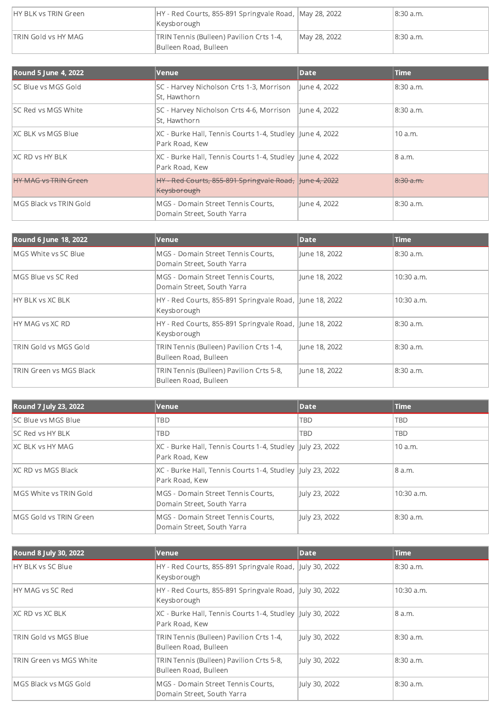| IHY BLK vs TRIN Green | HY - Red Courts, 855-891 Springvale Road,  May 28, 2022<br>Keysborough |              | 18:30 a.m. |
|-----------------------|------------------------------------------------------------------------|--------------|------------|
| TRIN Gold vs HY MAG   | TRIN Tennis (Bulleen) Pavilion Crts 1-4,<br>Bulleen Road, Bulleen      | May 28, 2022 | 8:30 a.m.  |

| <b>Round 5 June 4, 2022</b> | Venue                                                                       | Date          | <b>Time</b> |
|-----------------------------|-----------------------------------------------------------------------------|---------------|-------------|
| <b>ISC Blue vs MGS Gold</b> | SC - Harvey Nicholson Crts 1-3, Morrison<br>St. Hawthorn                    | llune 4, 2022 | 8:30 a.m.   |
| ISC Red vs MGS White        | SC - Harvey Nicholson Crts 4-6, Morrison<br>St. Hawthorn                    | llune 4, 2022 | 8:30 a.m.   |
| IXC BLK vs MGS Blue         | XC - Burke Hall, Tennis Courts 1-4, Studley  June 4, 2022<br>Park Road, Kew |               | 10a.m.      |
| IXC RD vs HY BLK            | XC - Burke Hall, Tennis Courts 1-4, Studley  June 4, 2022<br>Park Road, Kew |               | 8 a.m.      |
| LIV MAC up TDIN Croop       | HY - Red Courts, 855-891 Springvale Road,<br>Keysborough                    | Hune 4, 2022  | 8:30a.m.    |
| MGS Black vs TRIN Gold      | MGS - Domain Street Tennis Courts.<br>Domain Street, South Yarra            | June 4, 2022  | 8:30 a.m.   |

| <b>Round 6 June 18, 2022</b>   | Venue                                                                  | <b>Date</b>   | <b>Time</b>  |
|--------------------------------|------------------------------------------------------------------------|---------------|--------------|
| MGS White vs SC Blue           | MGS - Domain Street Tennis Courts,<br>Domain Street, South Yarra       | June 18, 2022 | 8:30 a.m.    |
| MGS Blue vs SC Red             | MGS - Domain Street Tennis Courts.<br>Domain Street, South Yarra       | lune 18, 2022 | $10:30$ a.m. |
| <b>HY BLK vs XC BLK</b>        | HY - Red Courts, 855-891 Springvale Road, June 18, 2022<br>Keysborough |               | 10:30 a.m.   |
| <b>HY MAG vs XC RD</b>         | HY - Red Courts, 855-891 Springvale Road, June 18, 2022<br>Keysborough |               | 8:30 a.m.    |
| <b>TRIN Gold vs MGS Gold</b>   | TRIN Tennis (Bulleen) Pavilion Crts 1-4,<br>Bulleen Road, Bulleen      | June 18, 2022 | 8:30 a.m.    |
| <b>TRIN Green vs MGS Black</b> | TRIN Tennis (Bulleen) Pavilion Crts 5-8,<br>Bulleen Road, Bulleen      | June 18, 2022 | 8:30 a.m.    |

| Round 7 July 23, 2022          | Venue                                                                        | Date          | <b>Time</b>  |
|--------------------------------|------------------------------------------------------------------------------|---------------|--------------|
| <b>ISC Blue vs MGS Blue</b>    | TBD                                                                          | TBD           | TBD          |
| ISC Red vs HY BLK              | TBD                                                                          | <b>TBD</b>    | <b>TBD</b>   |
| IXC BLK vs HY MAG              | XC - Burke Hall, Tennis Courts 1-4, Studley  July 23, 2022<br>Park Road, Kew |               | 10 a.m.      |
| IXC RD vs MGS Black            | XC - Burke Hall, Tennis Courts 1-4, Studley  July 23, 2022<br>Park Road, Kew |               | 8 a.m.       |
| MGS White vs TRIN Gold         | MGS - Domain Street Tennis Courts,<br>Domain Street, South Yarra             | July 23, 2022 | $10:30$ a.m. |
| <b>IMGS Gold vs TRIN Green</b> | MGS - Domain Street Tennis Courts,<br>Domain Street, South Yarra             | July 23, 2022 | 8:30 a.m.    |

| Round 8 July 30, 2022        | Venue                                                                       | Date          | <b>Time</b> |
|------------------------------|-----------------------------------------------------------------------------|---------------|-------------|
| <b>IHY BLK vs SC Blue</b>    | HY - Red Courts, 855-891 Springvale Road, July 30, 2022<br>Keysborough      |               | 8:30 a.m.   |
| <b>IHY MAG vs SC Red</b>     | HY - Red Courts, 855-891 Springvale Road, July 30, 2022<br>Keysborough      |               | 10:30 a.m.  |
| IXC RD vs XC BLK             | XC - Burke Hall, Tennis Courts 1-4, Studley July 30, 2022<br>Park Road, Kew |               | 8 a.m.      |
| <b>TRIN Gold vs MGS Blue</b> | TRIN Tennis (Bulleen) Pavilion Crts 1-4,<br>Bulleen Road, Bulleen           | July 30, 2022 | 8:30 a.m.   |
| TRIN Green vs MGS White      | TRIN Tennis (Bulleen) Pavilion Crts 5-8,<br>Bulleen Road, Bulleen           | July 30, 2022 | 8:30 a.m.   |
| MGS Black vs MGS Gold        | MGS - Domain Street Tennis Courts,<br>Domain Street, South Yarra            | July 30, 2022 | 8:30 a.m.   |